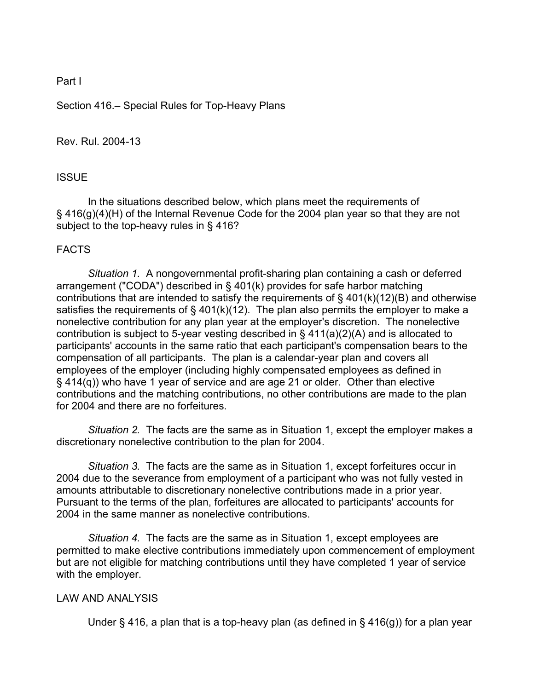## Part I

Section 416.– Special Rules for Top-Heavy Plans

## Rev. Rul. 2004-13

## ISSUE

In the situations described below, which plans meet the requirements of § 416(g)(4)(H) of the Internal Revenue Code for the 2004 plan year so that they are not subject to the top-heavy rules in § 416?

# FACTS

*Situation 1.* A nongovernmental profit-sharing plan containing a cash or deferred arrangement ("CODA") described in § 401(k) provides for safe harbor matching contributions that are intended to satisfy the requirements of § 401(k)(12)(B) and otherwise satisfies the requirements of  $\S$  401(k)(12). The plan also permits the employer to make a nonelective contribution for any plan year at the employer's discretion. The nonelective contribution is subject to 5-year vesting described in § 411(a)(2)(A) and is allocated to participants' accounts in the same ratio that each participant's compensation bears to the compensation of all participants. The plan is a calendar-year plan and covers all employees of the employer (including highly compensated employees as defined in § 414(q)) who have 1 year of service and are age 21 or older. Other than elective contributions and the matching contributions, no other contributions are made to the plan for 2004 and there are no forfeitures.

*Situation 2.* The facts are the same as in Situation 1, except the employer makes a discretionary nonelective contribution to the plan for 2004.

*Situation 3.* The facts are the same as in Situation 1, except forfeitures occur in 2004 due to the severance from employment of a participant who was not fully vested in amounts attributable to discretionary nonelective contributions made in a prior year. Pursuant to the terms of the plan, forfeitures are allocated to participants' accounts for 2004 in the same manner as nonelective contributions.

*Situation 4.* The facts are the same as in Situation 1, except employees are permitted to make elective contributions immediately upon commencement of employment but are not eligible for matching contributions until they have completed 1 year of service with the employer.

## LAW AND ANALYSIS

Under § 416, a plan that is a top-heavy plan (as defined in § 416(g)) for a plan year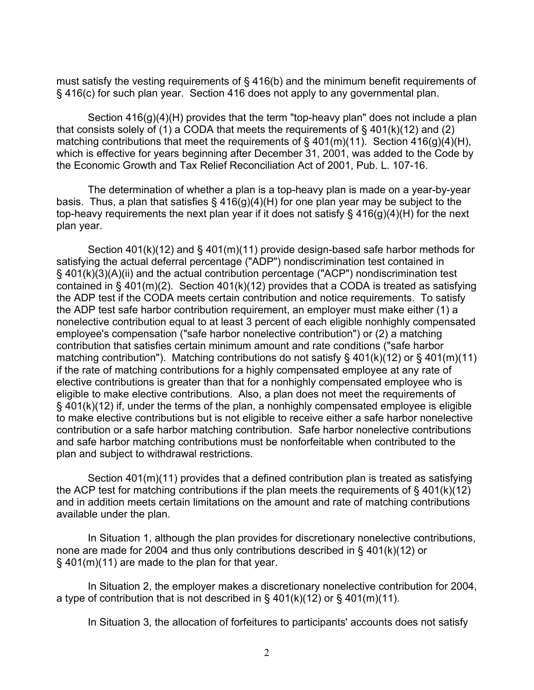must satisfy the vesting requirements of § 416(b) and the minimum benefit requirements of § 416(c) for such plan year. Section 416 does not apply to any governmental plan.

Section  $416(g)(4)(H)$  provides that the term "top-heavy plan" does not include a plan that consists solely of (1) a CODA that meets the requirements of  $\S$  401(k)(12) and (2) matching contributions that meet the requirements of  $\S$  401(m)(11). Section 416(g)(4)(H), which is effective for years beginning after December 31, 2001, was added to the Code by the Economic Growth and Tax Relief Reconciliation Act of 2001, Pub. L. 107-16.

 The determination of whether a plan is a top-heavy plan is made on a year-by-year basis. Thus, a plan that satisfies  $\S$  416(g)(4)(H) for one plan year may be subject to the top-heavy requirements the next plan year if it does not satisfy § 416(g)(4)(H) for the next plan year.

 Section 401(k)(12) and § 401(m)(11) provide design-based safe harbor methods for satisfying the actual deferral percentage ("ADP") nondiscrimination test contained in § 401(k)(3)(A)(ii) and the actual contribution percentage ("ACP") nondiscrimination test contained in  $\S$  401(m)(2). Section 401(k)(12) provides that a CODA is treated as satisfying the ADP test if the CODA meets certain contribution and notice requirements. To satisfy the ADP test safe harbor contribution requirement, an employer must make either (1) a nonelective contribution equal to at least 3 percent of each eligible nonhighly compensated employee's compensation ("safe harbor nonelective contribution") or (2) a matching contribution that satisfies certain minimum amount and rate conditions ("safe harbor matching contribution"). Matching contributions do not satisfy § 401(k)(12) or § 401(m)(11) if the rate of matching contributions for a highly compensated employee at any rate of elective contributions is greater than that for a nonhighly compensated employee who is eligible to make elective contributions. Also, a plan does not meet the requirements of § 401(k)(12) if, under the terms of the plan, a nonhighly compensated employee is eligible to make elective contributions but is not eligible to receive either a safe harbor nonelective contribution or a safe harbor matching contribution. Safe harbor nonelective contributions and safe harbor matching contributions must be nonforfeitable when contributed to the plan and subject to withdrawal restrictions.

 Section 401(m)(11) provides that a defined contribution plan is treated as satisfying the ACP test for matching contributions if the plan meets the requirements of  $\S$  401(k)(12) and in addition meets certain limitations on the amount and rate of matching contributions available under the plan.

 In Situation 1, although the plan provides for discretionary nonelective contributions, none are made for 2004 and thus only contributions described in § 401(k)(12) or § 401(m)(11) are made to the plan for that year.

 In Situation 2, the employer makes a discretionary nonelective contribution for 2004, a type of contribution that is not described in  $\S$  401(k)(12) or  $\S$  401(m)(11).

In Situation 3, the allocation of forfeitures to participants' accounts does not satisfy